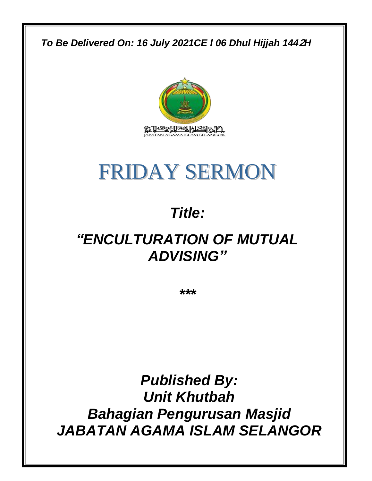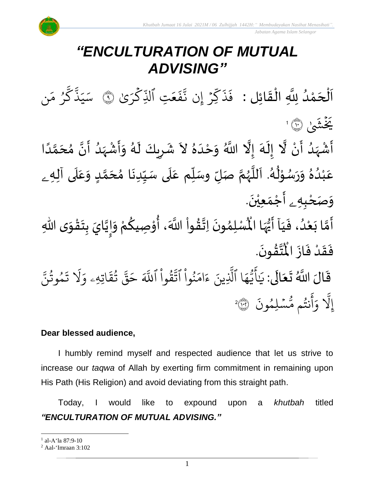## *"ENCULTURATION OF MUTUAL ADVISING"*

 $\mathbf{1}$ ن<br>پ اَلْحَمْدُ لِلَّهِ الْقَائِلِ : ۖ فَذَكِّرۡ إِن نَّفَعَتِ ٱلذِّكۡرَىٰ ِ<br>ُ ់<br>។  $\overline{\phantom{a}}$ ֦֧֦֧֦֧֦֧֦֧֦֧֝֟֓֓֓֓֓<u>֓</u>  $\frac{1}{\sqrt{2}}$  $\frac{1}{2}$ ֦֧֦֧֦֧֝<u>֦</u> ر ِّك ر<br>م ب<br>م تِ ٱلَّذِ ्<br>व ع  $\ddot{\cdot}$ ف ىيە<br>ج إِّن ن ِّر  $\ddot{\phantom{0}}$ ند<br>م ك  $\ddot{\cdot}$ ذ  $\ddot{\cdot}$ فَذَكِرْ إِن نَّفَعَتِ الَّذِكْرَىٰ ۞ سَيَذْكُرُ مَن ِ<br>م و<br>مرگ و<br>, ِ<br>سَ ك بہ<br>ج ذ ِ بر ِ<br>س سک يَخْشَىٰ ۞ ا ا<br>ا ْ  $\sum_{i=1}^{n}$ ۔<br>پ ؚ<br>ۣ<br>ؙ ֝֝֟֝<br>֧֦֖֦֝֝֟֝֟֝֟֝֟֝֟֝֟֝֟֟֟֟֟֟֟֟֟֟֟֟֟֟֓֕֝֟֓֟֓֕֝֟֓֟֓֕֝֟֓֟֓֕֝֟֟ َ<br>بر  $\tilde{\mathbf{r}}$ ً<br>ا ان<br>م  $\ddot{\mathbf{z}}$ ر<br>ا ؚ<br>ۣ<br>ؙ  $\sum_{i=1}^{n}$ ر<br>ر  $\mathbf{r}$  $\mathbf{r}$  $\ddot{\phantom{0}}$  $\frac{1}{1}$ ا<br>ا

أَشْهَدُ أَنْ لَّا إِلَهَ إِلَّا اللَّهُ وَحْدَهُ لاَ شَرِيكَ لَهُ وَأَشْهَدُ أَنَّ مُحَمَّدًا َ<br>زار<br>ما ।<br>-<br>-ت<br>م  $\frac{1}{\lambda}$ ا<br>ما  $\tilde{\cdot}$ ِ ፟<br>፞  $\tilde{\cdot}$ عَبْدُهُ وَرَسُوْلُهُ. اَللَّهُمَّ صَلِّ وسَلِّم عَلَى سَيِّدِنَا مُحَمَّدٍ وَعَلَى آلِه<sub>ِ ـُ</sub> َ<br>آ  $\frac{1}{\sqrt{2}}$  $\tilde{\cdot}$ <u>لم</u> تا<br>م  $\frac{1}{\lambda}$  $\ddot{\phantom{0}}$  $\frac{1}{1}$ َ<br>آ  $\frac{1}{\sqrt{2}}$ ֡֟<br>֡֕֜ ر<br>م ر<br>ر<br>ر ا<br>ا  $\overline{\phantom{a}}$ ۔<br>م ُ ֦֧֦֧֦ ر<br>ر<br>ر  $\ddot{\phantom{0}}$  $\tilde{\cdot}$ ِ<br>پ  $\frac{1}{1}$ ់<br>រ  $\frac{1}{\sqrt{2}}$ و*َص<sub>َ</sub>حْبِهِ <sub>۽</sub> أَجْمَعِيْنَ.* ْ  $\ddot{\phantom{0}}$ ْ  $\frac{1}{2}$  $\sum_{i=1}^{n}$ 

ِ<br>أَمَّا بَعْدُ، فَيَا أَيُّهَا الْمُسْلِمُونَ اِتَّقُواْ اللَّهَ، أُوْ  $\frac{1}{1}$  $\ddot{\cdot}$ ۔<br>ا ֦֧֝֝<br>**֧**  $\tilde{\cdot}$ ن<br>ا  $\sum_{i=1}^{n}$ י<br>נ ُ<br>المنابع<br>ا ؗ<br>ا **مبر**<br>مذ ا<br>با<br>ب  $\ddot{\phantom{0}}$ ๋<br>ለ أَيُّهَا الْمُسْلِمُونَ اِتَّقُواْ اللَّهَ، أُوْصِيكُمْ وَإِيَّايَ بِتَقْوَى اللّٰهِ ِ<br>پار<br>رو ُ<br>ُمُ  $\ddot{\mathbf{z}}$  $\tilde{\cdot}$ ֦֧֦֧֦֧<u>֦</u>  $\frac{1}{2}$  $\frac{1}{2}$ ان<br>ا  $\sum_{i=1}^n$  $\tilde{\cdot}$ ر<br>مخ .  $\ddot{\phantom{0}}$ ت**َّقُونَ**  $\frac{1}{2}$ ا<br>ارب  $\ddot{\hat{\mathbf{r}}}$ فَقَدْ فَازَ الْمُ  $\ddot{\cdot}$  $\ddot{\cdot}$ ْ  $\frac{1}{2}$  $\ddot{\cdot}$ قَالَ اللَّهُ تَعَالَى: يَأَيُّهَا ٱلَّذِينَ ءَامَنُواْ ٱتَّقُواْ ٱللَّهَ حَقَّ تُقَاتِهِء وَلَا تَمُوتُنَّ ً<br>اع  $\ddot{\phantom{0}}$  $\frac{1}{2}$  $\ddot{\mathbf{r}}$ مُوتَنَّ و<br>به و  $\ddot{\cdot}$ ت َ َل  $\frac{1}{\alpha}$ اتِّهِّۦ و  $\ddot{\mathbf{r}}$ ق ت و<br>بو یہ<br>•• قٌ  $\overline{\phantom{a}}$ ح ِ<br>آک قُوا اللَّهَ ْ و<br>پيد ِ<br>په نُوا اڌّ ْ ُو ِ<br>م ام ر<br>ء ء ِّينَ یہ<br>۱ ا الذِ ِرِ ه و<br>د سَ<br>ڊ ِ<br>ع  $\overline{\phantom{a}}$ ٰ ِ ي  $\ddot{\cdot}$ سْلِمُونَ و  $\ddot{\phantom{0}}$ و<br>مە ُنتُم مَّ و<br>به ِ<br>ج أ  $\frac{1}{\alpha}$ و ىد<br>1 إِلاَ وَآنْتُم مُّسۡلِمُونَ ۞؟

### **Dear blessed audience,**

I humbly remind myself and respected audience that let us strive to increase our *taqwa* of Allah by exerting firm commitment in remaining upon His Path (His Religion) and avoid deviating from this straight path.

Today, I would like to expound upon a *khutbah* titled *"ENCULTURATION OF MUTUAL ADVISING."*

<sup>1</sup> al-A'la 87:9-10

<sup>2</sup> Aal-'Imraan 3:102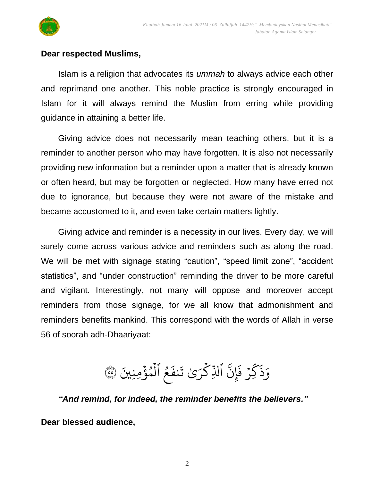



#### **Dear respected Muslims,**

Islam is a religion that advocates its *ummah* to always advice each other and reprimand one another. This noble practice is strongly encouraged in Islam for it will always remind the Muslim from erring while providing guidance in attaining a better life.

Giving advice does not necessarily mean teaching others, but it is a reminder to another person who may have forgotten. It is also not necessarily providing new information but a reminder upon a matter that is already known or often heard, but may be forgotten or neglected. How many have erred not due to ignorance, but because they were not aware of the mistake and became accustomed to it, and even take certain matters lightly.

Giving advice and reminder is a necessity in our lives. Every day, we will surely come across various advice and reminders such as along the road. We will be met with signage stating "caution", "speed limit zone", "accident statistics", and "under construction" reminding the driver to be more careful and vigilant. Interestingly, not many will oppose and moreover accept reminders from those signage, for we all know that admonishment and reminders benefits mankind. This correspond with the words of Allah in verse 56 of soorah adh-Dhaariyaat:

مُ ٱلۡمُؤۡمِنِينَ ہ<br>ء و<br>م ہ<br>1 و<br>و  $\ddot{\cdot}$ نف َ ٰى ت َ ر ِّك <u>ہ</u> ب<br>م الذِّ ِ<br>په ِّن إ  $\ddot{\cdot}$ ء ڏ<br>بر ف ؚ<br>ۣ ن<br>م  $\sum$  $\ddot{\cdot}$ وَذَكِّرْ فَإِنَّ ٱلذِّكْرَىٰ تَنفَعُ ٱلْمُؤْمِنِينَ ۞

*"And remind, for indeed, the reminder benefits the believers."*

**Dear blessed audience,**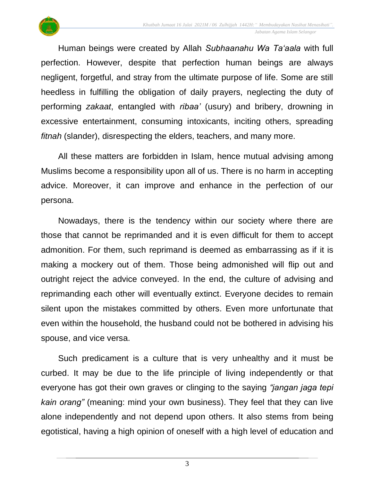

Human beings were created by Allah *Subhaanahu Wa Ta'aala* with full perfection. However, despite that perfection human beings are always negligent, forgetful, and stray from the ultimate purpose of life. Some are still heedless in fulfilling the obligation of daily prayers, neglecting the duty of performing *zakaat*, entangled with *ribaa'* (usury) and bribery, drowning in excessive entertainment, consuming intoxicants, inciting others, spreading *fitnah* (slander), disrespecting the elders, teachers, and many more.

All these matters are forbidden in Islam, hence mutual advising among Muslims become a responsibility upon all of us. There is no harm in accepting advice. Moreover, it can improve and enhance in the perfection of our persona.

Nowadays, there is the tendency within our society where there are those that cannot be reprimanded and it is even difficult for them to accept admonition. For them, such reprimand is deemed as embarrassing as if it is making a mockery out of them. Those being admonished will flip out and outright reject the advice conveyed. In the end, the culture of advising and reprimanding each other will eventually extinct. Everyone decides to remain silent upon the mistakes committed by others. Even more unfortunate that even within the household, the husband could not be bothered in advising his spouse, and vice versa.

Such predicament is a culture that is very unhealthy and it must be curbed. It may be due to the life principle of living independently or that everyone has got their own graves or clinging to the saying *"jangan jaga tepi kain orang"* (meaning: mind your own business). They feel that they can live alone independently and not depend upon others. It also stems from being egotistical, having a high opinion of oneself with a high level of education and

3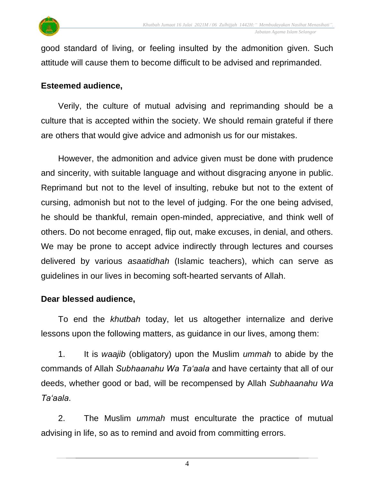

good standard of living, or feeling insulted by the admonition given. Such attitude will cause them to become difficult to be advised and reprimanded.

#### **Esteemed audience,**

Verily, the culture of mutual advising and reprimanding should be a culture that is accepted within the society. We should remain grateful if there are others that would give advice and admonish us for our mistakes.

However, the admonition and advice given must be done with prudence and sincerity, with suitable language and without disgracing anyone in public. Reprimand but not to the level of insulting, rebuke but not to the extent of cursing, admonish but not to the level of judging. For the one being advised, he should be thankful, remain open-minded, appreciative, and think well of others. Do not become enraged, flip out, make excuses, in denial, and others. We may be prone to accept advice indirectly through lectures and courses delivered by various *asaatidhah* (Islamic teachers), which can serve as guidelines in our lives in becoming soft-hearted servants of Allah.

#### **Dear blessed audience,**

To end the *khutbah* today, let us altogether internalize and derive lessons upon the following matters, as guidance in our lives, among them:

1. It is *waajib* (obligatory) upon the Muslim *ummah* to abide by the commands of Allah *Subhaanahu Wa Ta'aala* and have certainty that all of our deeds, whether good or bad, will be recompensed by Allah *Subhaanahu Wa Ta'aala*.

2. The Muslim *ummah* must enculturate the practice of mutual advising in life, so as to remind and avoid from committing errors.

4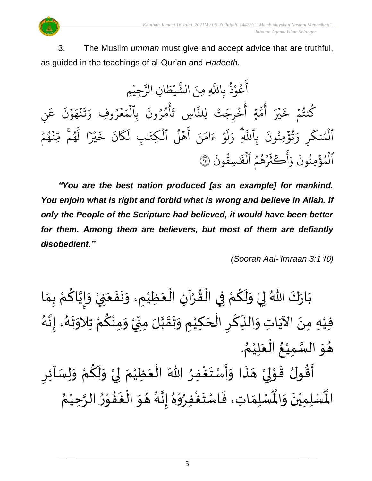

3. The Muslim *ummah* must give and accept advice that are truthful, as guided in the teachings of al-Qur'an and *Hadeeth*.

ِّم ِّجي **ٔ** ِ<br>سَ ِّن الر ا  $\tilde{\cdot}$ يْطَ ْ بر<br>په لَّهِ مِنَ الشَّ عُوْذُ بِاللَّهِ و<br>ڊ **ٔ** و<br>م ِ<br>ج أ ِّ ن ِ<br>م ع .<br>` ن و  $\frac{1}{2}$ ِ<br>م نمځ  $\ddot{\cdot}$  $\ddot{\cdot}$ ن<br>ت  $\frac{1}{\alpha}$ مُرُوفِ وَ ُو  $\frac{1}{2}$  $\frac{1}{2}$ بِالْمَ ہ<br>1 .<br>? أمُرُونَ ُو و<br>م ہ<br>ء  $\ddot{\cdot}$ ا ِّس ت ىر<br>ب جَتَّ لِلنَّ ةٍ أُخْرِجَ  $\ddot{\cdot}$ و<br>ع ىد<br>م ت<br>م و<br>م أ در<br>م در<br>بگر  $\ddot{\cdot}$ كَنْتُمْ خَـ  $\frac{1}{2}$ و<br>به و<br>م ہ<br>ء برة<br>نو و<br>په ِ<br>ہ ِّ و ر ر<br>م الْمُنكَّرِ وَتُؤْمِنُونَ بِاللَّهِ وَلَوْ ءَامَنَ أَهْلَ الْكِتَنْبِ لَكَانَ خَيْرًا لَهُمْ مِّنْهُمُ و ہ<br>ا و و<br>م  $\ddot{\cdot}$ د<br>م مُحَمَّ مِّ و<br>م یہ<br>۱ ا ل در<br>م دیه<br>بیر  $\tilde{\cdot}$ خ .<br>` ن ر<br>م  $\mathcal{R}$ ِ<br>ا ِّب ل ٰ  $\tilde{\cdot}$ هْلَ الكِتَن ہ<br>ا و<br>ا י<br>א ۔<br>ج أ نَ َ ام ر<br>ء ء و  $\frac{1}{2}$ َ<br>ہ<br>ہ ل ِّ وَ بر<br>آ بِاللَّهِ  $\ddot{\cdot}$ ِّمِنُونَ ُ .<br>` سِقُونَ ور ٰ  $\tilde{\cdot}$ َهُمُ اَلْفَٰ ہ<br>1 و و<br>ج و<br>. ় ِ<br>ڪَثَرُ ا<br>بح أ ِرِ و .<br>` الْمُؤْمِنُونَ وَاكْثَرُهُمُ الْفَسِقُونَ ۞ ُو ہ<br>ء و ہ<br>1

*"You are the best nation produced [as an example] for mankind.*  You enjoin what is right and forbid what is wrong and believe in Allah. If *only the People of the Scripture had believed, it would have been better for them. Among them are believers, but most of them are defiantly disobedient."*

 *(Soorah Aal-'Imraan 3:1*10*)*

ْ ِ ي ن َ ع َ ف َ ن َ ِم، و ْ ِظي َ ع ْ ِن ال آ ْ ر ُ ق ْ ِي ال ف ْ م ُ ك َ ل َ و ْ ِي َ ُهللا <sup>ل</sup> ك َ ار َ ب ا َ ِم ب ْ م ُ اك ا ي ِ إ َ و ُ ه ا ن ِ ، إ ُ ه َ ت َ ِالو ت ْ م ُ ك ْ ِمن َ و ْ ي ِ ِمن لَ ا ب َ ق َ ت َ ِم و ْ ِكي َ ح ْ ال ِ ر ْ ك ِذ ال َ ِت و ا َ اآلي َ ِه ِمن ْ ِفي . ُ م ْ ِي ل َ ع ْ ال ُ ع ْ ِمي ا الس َ و ُ ه ا َ ذ َ ه ْ ِي ل ْ و َ ق ولُ ُ ق َ أ ِ ِر آئ ِسَ ل َ و ْ م ُ ك َ ل َ و ْ ِي ل َ م ْ ِظي َ ع ْ ال ُ هللاَ ِفر ْ غ َ ت سْ َ أ َ و ُ م ْ ِحي ا الر ُ ر ْ و ُ ف َ غ ْ ال َ و ُ ه ُ ه ا ن ِ إ ُ ه ْ و ِفر ُ ْ غ َ ت اسْ َ ِت،ف ا ِم ل سْ اْل و ن ِ ِمي ل َ ُْ َ َ ْ سْ ُْ اْل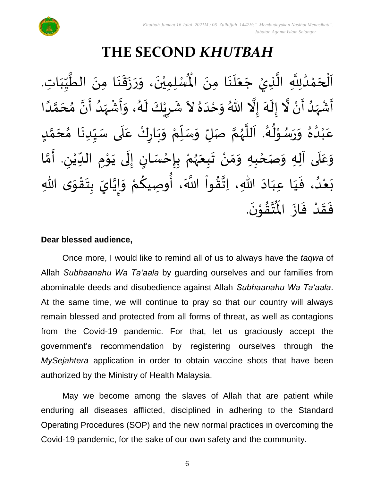# **THE SECOND** *KHUTBAH*

 $\ddot{\phantom{0}}$ ِ<br>اَلْحَمْدُلِلَّهِ الَّذِيْ جَعَلَنَا مِنَ الْمُسْلِمِيْنَ، وَرَزَقَنَا مِنَ الطَّيِّبَاتِ  $\ddot{\phantom{0}}$  $\cdot$  $\ddot{\phantom{0}}$  $\overline{\phantom{a}}$ ن<br>ا ان<br>ا ِ<br>ُ' ់<br>ត  $\overline{\phantom{a}}$ ֦֧֦֧֦֧֝<u>֚</u>  $\frac{1}{\sqrt{2}}$  $\frac{1}{1}$  $\frac{1}{2}$  $\frac{1}{2}$ ان<br>ا  $\ddot{\phantom{0}}$  $\ddot{\phantom{0}}$  $\frac{1}{2}$  $\ddot{\phantom{0}}$  $\ddot{\phantom{0}}$  $\ddot{\ }$  $\ddot{\phantom{0}}$ ْ الْمُسْلِمِيْنَ، وَرَزَقَنَا مِنَ الطَّيِّبَاتِ. ا<br>ا أَشْهَدُ أَنْ لَّا إِلَهَ إِلَّا اللّهُ وَحْدَهُ لاَ شَرِيْكَ لَهُ، وَأَشْهَدُ أَنَّ مُحَمَّدًا ْ  $\ddot{\mathbf{z}}$  $\frac{1}{1}$ َ<br>زار<br>دا ْ  $\sum_{i=1}^{n}$ ان<br>ا َ<br>ِم  $\frac{1}{\epsilon}$ ।<br>-<br>- $\ddot{\phantom{0}}$ ِ<br>پ  $\frac{1}{1}$  $\tilde{\cdot}$ ً<br>أ ت<br>م َ  $\frac{1}{2}$ ن<br>• ا<br>با <br>ا  $\frac{1}{2}$ ْ ا<br>:<br>:  $\frac{1}{2}$ ر<br>گ  $\tilde{\cdot}$ ْ <u>ر</u> ្រៃ $\frac{1}{2}$ عَبْدُهُ وَرَسُوْلُهُ. اَللَّهُمَّ صَلِّ وَسَلِّمْ وَبَارِكْ عَلَى سَيِّدِنَا مُحَمَّدٍ  $\overline{r}$ ن<br>م  $\overline{\phantom{a}}$ ๋<br>ጎ  $\ddot{\phantom{0}}$  $\frac{1}{1}$  $\frac{1}{2}$  $\frac{1}{1}$ ِ<br>م ّ  $\ddot{\phantom{0}}$ ิ์ ْ  $\frac{1}{\sqrt{2}}$  $\overline{r}$  $\frac{1}{2}$ ن<br>م ر<br>ر<br>ر ا<br>ا م<br>آ ء<br>لم ء<br>م≁ ֦֧֦֦֧֝<u>֦</u> ر<br>را  $\frac{1}{2}$  $\frac{1}{2}$ بر<br>▲ .<br>د ់<br>រ ِ<br>م وَعَلَى آلِهِ وَصَحْبِهِ وَمَنْ تَبِعَهُمْ بِإِحْسَانٍ إِلَى يَوْمِ الدِّيْنِ. أَمَّا  $\overline{\mathbf{a}}$  $\frac{1}{2}$  $\tilde{\cdot}$ ْ ن<br>م ֧֪֧֧֧֧֧֧֓֝֝֟֓֝֝֟֓֕֓֕֓֕֓֕֓֝֟֓֟֓֝֬֟֓֟֓֟֓֟֓֟֓<br>֧֧֚֝֝֝֟׆֧֧ ِ ٝ<br>ؙ  $\frac{1}{1}$ **→** י<br>י  $\ddot{\phantom{0}}$  $\ddot{\phantom{0}}$ ل  $\frac{1}{2}$ ر<br>! ْ **ر**<br>-ْ ر<br>ر<br>ر  $\ddot{\phantom{0}}$  $\ddot{\phantom{0}}$ ْ ์ $\frac{1}{2}$  $\frac{1}{2}$ ى ِهللا و ق ت ب ايَ ي إ و م وِصيك ، أ َّللا اَ وا ق ِهللا، ِات اد ِعب ا ي ، ف د ع ب  $\ddot{\ }$ ֦֧֦֧֦֧֝<u>֦</u>  $\ddot{\phantom{0}}$ **ؚ** ن<br>•  $\frac{1}{2}$  $\frac{1}{2}$ ْ ्या<br>∽ ُ<br>پیدائشہ ر<br>ا  $\frac{1}{2}$ ا<br>با<br>•  $\sim$  $\frac{1}{1}$  $\frac{1}{1}$  $\frac{1}{2}$ ر<br>ا ំ<br>**រ**  $\ddot{\phantom{0}}$ .  $\ddot{\phantom{0}}$ ؾڤۊ۫ڹؘ ֦֧֦֧֦  $\frac{1}{2}$ ا<br>اب  $\frac{1}{\sqrt{2}}$ فَقَدْ فَازَ الْمُ  $\ddot{\phantom{0}}$  $\ddot{\cdot}$ ْ  $\frac{1}{2}$  $\frac{1}{2}$ 

#### **Dear blessed audience,**

Once more, I would like to remind all of us to always have the *taqwa* of Allah *Subhaanahu Wa Ta'aala* by guarding ourselves and our families from abominable deeds and disobedience against Allah *Subhaanahu Wa Ta'aala*. At the same time, we will continue to pray so that our country will always remain blessed and protected from all forms of threat, as well as contagions from the Covid-19 pandemic. For that, let us graciously accept the government's recommendation by registering ourselves through the *MySejahtera* application in order to obtain vaccine shots that have been authorized by the Ministry of Health Malaysia.

May we become among the slaves of Allah that are patient while enduring all diseases afflicted, disciplined in adhering to the Standard Operating Procedures (SOP) and the new normal practices in overcoming the Covid-19 pandemic, for the sake of our own safety and the community.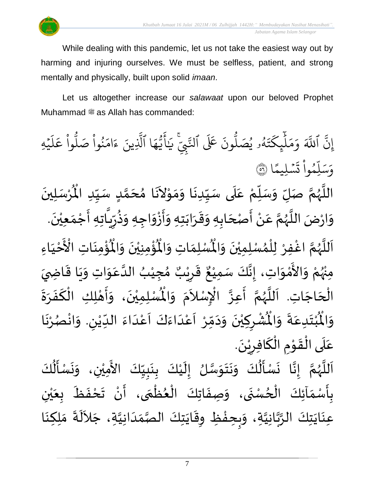

While dealing with this pandemic, let us not take the easiest way out by harming and injuring ourselves. We must be selfless, patient, and strong mentally and physically, built upon solid *imaan*.

Let us altogether increase our *salawaat* upon our beloved Prophet Muhammad  $\ddot{\text{m}}$  as Allah has commanded:

 $\overline{\phantom{a}}$ ِ<br>تَّبِي .<br>تَ عَلَى ٱلنَّ ون و<br>ا ه<br>۹ يُصَلُّ و<br>د و<br>لم  $\ddot{\phantom{0}}$ ت ر<br>م ِّك ئ بر<br>آ  $\uparrow$ ِ<br>م ر<br>م ر<br>م و ِ<br>آک اَللَّهَ ِ<br>پ إِنَّ اللَّهَ وَمَلْبِكَتَهُو يُصَلُونَ عَلَى النَّبِيِّ ٰ ِ يَايَّهَا الَّذِينَ ءَامَنُوا صَلُوا عَلَيْهِ ؚ<br>ۣ ر<br>آ  $\uplambda$ ِ<br>م ع وا ْ و<br>ا نُواْ صَلُّ ْ ُ ِ<br>م ام ्<br>c ء ِّينَ یہ<br>۱ ا آلذِ ِ<br>م ه و<br>د سَ<br>ڊ ِ<br>ج أ ا  $\frac{2}{\lambda}$ ن*َسْ*لِيمً  $\ddot{\phantom{0}}$  $\ddot{\cdot}$ ت <u>ہ</u> وا ِّم و ر<br>آ ل ِ<br>س وَسَلِّمُواْ تَسۡلِيمًا (َ ٛ اللَّهُمَّ صَلِّ وَسَلِّمْ عَلَى سَيِّدِنَا وَمَوْلاَنَا مُحَمَّدٍ سَيِّدِ الْمُرْسَلِينَ  $\frac{1}{1}$ ِ<br>م ْ چ<br>ا  $\overline{r}$  $\frac{1}{2}$ ن<br>م ر<br>ر<br>ر ا<br>ا  $\ddot{\phantom{0}}$ ْ  $\mathbf{r}^{\circ}$ سَيِّدِنَا وَمَوْلاَنَا مُحَمَّدٍ سَيِّدِ الْمُ  $\frac{1}{1}$  $\frac{1}{2}$ <u>لم</u> ت<br>م  $\overline{\phantom{a}}$ ๋<br>ጎ  $\overline{\phantom{a}}$  $\tilde{\phantom{a}}$ ֦֧֦֧֦֦֧֦֧֦֧֦֝֟֓<br>**֧**  $\frac{1}{2}$  $\frac{1}{2}$  $\ddot{\phantom{0}}$  $\frac{1}{1}$ ़<br>; وَارْضَ اللَّهُمَّ عَنْ أَصْحَابِهِ وَقَرَابَتِهِ وَأَزْوَاجِهِ وَذُرِّيَّاتِهِ أَجْمَعِيْنَ. ْ  $\frac{1}{2}$ ֦֧֦֧֦֧<u>֦</u> بر<br>:<br>: .<br>تا  $\frac{1}{\sqrt{2}}$ ر ِ<br>په<br>م  $\frac{1}{2}$  $\frac{1}{2}$ ْ بِ -<br>:<br>:  $\ddot{\ }$  $\ddot{\phantom{0}}$  $\frac{1}{2}$  $\frac{1}{2}$ ์ $\overline{\phantom{a}}$  $\overline{\phantom{a}}$ ֝׀<br>ֺ֧֪֪֪֪֝֜֝֘֝֝ ْ ِ<br>م ن<br>م ر<br>ر<br>ر ا<br>ا  $\ddot{\ }$ ؙۊؙٝڡؚڹؘٵتؚ  $\ddot{\phantom{0}}$ ؚ<br>پن  $\tilde{\mathbf{r}}$ ُؤْمِنِيْنَ وَالْمُ  $\tilde{\cdot}$  $\ddot{\phantom{0}}$ ْ ؚ<br>پن ُْ ِ<br>لْمُسْلِمَاتِ وَالْمُ  $\tilde{\cdot}$  $\frac{1}{2}$ اَللَّهُمَّ اغْفِرْ لِلْمُسْلِمِيْنَ وَالْمُسْلِمَاتِ وَالْمُؤْمِنِيْنَ وَالْمُؤْمِنَاتِ الْأَخْيَاءِ  $\frac{1}{2}$  $\ddot{\phantom{0}}$ ْ ›<br>ለ ٝ<br>ا ر<br>و י<br>מ ر<br>ر<br>ر ا<br>ا َ َ ْ َ مَ<br>مع الْأَخْيَاءِ مِنْهُمْ وَالأَمْوَاتِ، إِنَّكَ سَمِيْعٌ قَرِيْبٌ مُجِيْبُ الدَّعَوَاتِ وَيَا قَاضِيَ ْ ُ<br>ور<br>مر ْ ์<br>-<br>-ْ<br>ْ —<br>ع  $\ddot{\ }$  $\frac{1}{2}$  $\ddot{\mathbf{r}}$  $\ddot{\phantom{0}}$  $\frac{1}{2}$  $\ddot{\ }$ ِ<br>م ان<br>ا ُ ْ  $\frac{1}{2}$ ه<br>**د ا** ي ر ق ِ  $\frac{1}{2}$ ٌ ع ِمي سَ كَ ن ، إ ٝ<br>ؙ ا<br>ما<br>: ।<br>-<br>-تِهُم رَّ حَتَّىٰ عَمَّدٍ مَسْتِيَّ حَتِّبَ حَبِيَّبَ حَتَّىٰ وَ حَسِيَّةٍ<br>الْحَاجَاتِ. اَللَّهُمَّ أَعِزَّ الْإِسْلاَمَ وَالْمُسْلِمِيْنَ، وَأَهْلِكِ الْكَفَرَةَ  $\overline{\phantom{a}}$ ۔<br>∤  $\ddot{\phantom{0}}$  $\frac{1}{2}$  $\ddot{\cdot}$ ์<br>-<br>-֧֧֧֧֧֧֧֧֧֧֧֧֧֧֧֚֘֝֝֟֟֓֟֓֟֓֟֓֟֓֟֓֟֓֟֓֟֓֟֓֟֓֟֓֟֓֟֓֟֓֟֓֟֩֕֓֟֓֟֓֟֓֟֓֟֓֟֓֟֓֝֬֟֓֝֬֟֓֟֓֟֓֟֓֟֓֟֓֟֓֝֬֟ י<br>**י** ر<br>ب  $\ddot{\ }$  $\ddot{\phantom{0}}$ ْ اَللَّهُمَّ أَعِزَّ الْإِسْلاَمَ وَالْمُ  $\frac{1}{2}$ .<br>د ्<br>र .<br>ا ان<br>ب ا<br>ج ن<br>م ر<br>ر<br>ر ر<br>آ ا<br>أ ْ ُشْرِكِيْنَ وَدَمِّرْ اَعْدَاءَكَ اَعْدَاءَ اللدِّيْنِ. وَاذْ  $\frac{1}{2}$ ِ ٝ<br>ؙ  $\frac{1}{1}$  $\frac{1}{2}$ ت<br>م<br>ا .<br>م  $\frac{1}{\sqrt{2}}$ ِ<br>و  $\frac{1}{2}$  $\frac{1}{1}$ ْ<br>م  $\frac{1}{\sqrt{2}}$ ْ  $\frac{1}{2}$  $\sim$  $\frac{1}{2}$ ا<br>۔<br>• ْ <u>ر</u> ْ  $\ddot{\hat{}}$ ُبْتَدِعَةً وَالْمُ  $\frac{1}{2}$  $\ddot{\cdot}$  $\frac{1}{2}$  $\ddot{\phantom{0}}$ ْ بِ  $\ddot{\hat{}}$ وَالْمُبْتَدِعَةَ وَالْمُشْرِكِيْنَ وَدَمِّرْ اَعْدَاءَكَ اَعْدَاءَ الدِّيْنِ. وَانْصُرْنَا  $\frac{1}{2}$ ر<br>.<br>. ْ ر<br>ر<br>ر .  $\ddot{ }$ عَلَى الْقَوْمِ الْكَافِرِيْنَ ْ <u>ر</u> .<br>په .<br>ا **→** י<br>י  $\frac{1}{2}$ ّ<br>أ ์ $\overline{\phantom{a}}$ ِ<br>م ُ<br>ُاُمُّ  $\ddot{\phantom{0}}$  $\ddot{\phantom{0}}$  $\frac{1}{2}$ ْ َ<br>ج  $\frac{1}{1}$  $\ddot{\phantom{0}}$ ْ  $\mathbf{r}$ ن<br>ر  $\ddot{\ }$  $\frac{1}{2}$  $\ddot{\phantom{0}}$  $\frac{1}{2}$ ُ<br>ا -<br>:<br>:  $\ddot{\phantom{0}}$ ֘֝<br>֧֝֟֓֟֓֟֓֟֓֟֓֟׆ י<br>מ ر<br>ر<br>ر ا<br>ا  $\overline{\phantom{a}}$ 

ِ<br>نَسْـأَلُّكَ ِ<br>اَللَّهُمَّ إِنَّا نَسْأَلُكَ وَنَتَوَسَّلُ إِلَيْكَ بِنَبِيِّكَ الأَمِيْنِ، وَا  $\frac{1}{2}$  $\frac{1}{2}$ **ٍ**<br>-।<br>-<br>-।<br>-<br>-.<br>بِأَسْمَآئِكَ الْحُسْنَى، وَصِفَاتِكَ الْعُظُمَى، أَنْ تَحْفَظَ بِعَيْنِ ْ ي  $\ddot{\phantom{0}}$ ر<br>م  $\ddot{\phantom{0}}$  $\frac{1}{2}$ ْ  $\sum_{i=1}^{n}$  $\frac{1}{2}$ ر<br>م }<br>• ֦֧֦֧֧֧֦֧֧֧֧֧֦֧֧֧֧֧֧֪֪֧֧֟֟֓֟֓֟֓֟֓֟֓֟֓֟֓֟֓֟֓֟֓֟֓֟֓֟֓֟֓֟֓֟֓֟֓֟֩֕֟֓֟֓֝֟֓֟֓֝֟֓֟֓֟֓֝֬֟֓֟֓֟֓֝֟֓֝֬֟֓֝֟֓֝֟֝֟֝֬֟<br>֧֧֧֧֝֩֩֩֩֩֩֓֟  $\ddot{\phantom{0}}$  $\tilde{\cdot}$  $\ddot{\phantom{0}}$ ر<br>م ֦֧<u>֚</u>  $\frac{1}{2}$ ֧֧֦֧֦֧֦֧֦֧֦֧֧֦֧֧֚֬֝֟֜֟֓֕֝֓֕֓֕֓֕֓֕֓֝֓֕֓֝֬֟֓֝֬֟֓֟֓֟֓֝֬֟֓֝֓<br>׆֧ **ٍ**<br>-ِ<br>عِنَايَتِكَ الرَّبَّانِيَّةِ، وَبِحِفْظِ وِقَايَتِكَ الصَّمَدَانِيَّةِ، جَلاَلَةَ مَلِكِنَا  $\ddot{\phantom{0}}$ ا<br>پو ້<br>: ।<br>><br>२  $\tilde{\cdot}$ ان<br>ا ن<br>تار<br>پ ان<br>ا  $\ddot{\phantom{0}}$  $\ddot{\phantom{0}}$  $\ddot{\cdot}$ ِ<br>الج  $\sim$ ان<br>ا  $\frac{1}{1}$  $\frac{1}{2}$ اتا<br>ما  $\ddot{\phantom{0}}$  $\frac{1}{2}$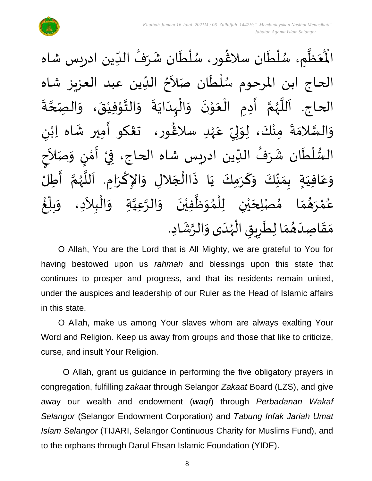

ْعَظَّمِ، سُلْطَان سلاڠُور، سُلْطَان شَرَفُ الدِّين ادريس شاه  $\frac{1}{1}$ ُ  $\mathbf{r}$  $\ddot{\phantom{0}}$ ٝ<br>ا ُ<br>ُ )<br>ፌ  $\ddot{\phantom{0}}$ ់<br>( <br>ر , ان<br>ا  $\frac{1}{2}$ ُْ اْل الحاج ابن المرحوم سُلْطَان صَلاَحُ الدِّين عبد العزيز شاه  $\frac{1}{1}$ <sup>}</sup>  $\tilde{\phantom{a}}$ `<br>أ ا<br>ا ر<br>م  $\ddot{\cdot}$ الحاج. اَللَّهُمَّ أَدِمِ الْعَوْنَ وَالْبِدَايَةَ وَالتَّوْفِيْقَ، وَالصِّحَّةَ ن<br>ا  $\tilde{\cdot}$  $\ddot{\phantom{0}}$ ْ י<br>י انا  $\frac{1}{2}$  $\ddot{\cdot}$  $\ddot{\phantom{0}}$ ا<br>ا .<br>ا  $\frac{1}{2}$  $\ddot{\phantom{0}}$ י<br>י  $\frac{1}{2}$ ֦֧֦֧֦֧֝<u>֦</u> ।<br>∕ ֚֝<br>֧֧֧֦֧֚֚֝֝֟֓֟֓֟֓֟֓֟֓֟֓֟֓֟֓֟֓֟֓֟֓֟֓֟֓֟֓֟֓֟֓֟֓ ن<br>م ر<br>ر<br>ر ا<br>الم ا<br>آ  $\ddot{\cdot}$ ى<br>وَالسَّلامَةَ مِنْكَ، لِوَلِيِّ عَهْدِ سلاغُور، ت**ڠك**و أَمِير شَاه اِبْنِ  $\ddot{\ }$ ان<br>سا  $\tilde{\cdot}$ ٝ<br>ؙ  $\frac{1}{2}$ َ ر<br>شم ٝ<br>ْ ِ<br>م  $\frac{1}{2}$ ا<br>بر إ ا<br>م ֦֧<u>֚</u> ।<br>न السُّلْطَان شَرَفُ الدِّين ادريس شاه الحاج، فِيْ أَمْنٍ وَصَلاَحٍ  $\tilde{\phantom{a}}$  $\frac{1}{2}$ <u>رِ</u> י<br>י ..<br>∶ُ ْ  $\frac{1}{1}$ ُ  $\frac{1}{2}$  $\mathbf{r}$ ٝ<br>ا  $\frac{3}{4}$ وَعَافِيَةٍ بِمَنَّكَ وَكَرَمِكَ يَا ذَاالْجَلالِ وَالإِكْرَامِ. اَللَّهُمَّ أَطِلُ  $\sum_{i=1}^{n}$ ل<br>م ُ<br>وفر<br>مراجع م<br>تار َ ।<br>∕ ا<br>د  $\tilde{\cdot}$  $\overline{\phantom{a}}$ ْ  $\ddot{\cdot}$  $\ddot{\phantom{0}}$ َ  $\tilde{\cdot}$  $\frac{1}{2}$  $\frac{1}{2}$  $\sum_{i=1}^{n}$  $\frac{1}{1}$ ِ<br>م  $\tilde{\cdot}$  $\tilde{\cdot}$ عُمْرَهُمَا مُصْلِحَيْنِ لِلْمُوَظَّفِيْنَ وَالرَّعِيَّةِ وَالْبِلاَدِ، وَ  $\ddot{\phantom{0}}$ ْ ا<br>ا  $\frac{1}{2}$ ›<br>ለ ់<br>( ْ ي  $\overline{\phantom{a}}$  $\frac{1}{2}$  $\frac{1}{2}$ ़<br>ै ់<br>ត ٍ<br>م ້<br>.<br>. غ ֝<br>֡֟֟֟֟֟֟֟֟֟֟֟֟֓֟֓֟֓֟֓֟֓֟֓֟֓֟֓֟֟֟֟֟֟֡֟  $\frac{1}{2}$ بلاً  $\frac{1}{2}$  $\tilde{\phantom{a}}$ ֦֧֦֧֦֧֝<u>֦</u> م<br>م ان<br>ا ان<br>ا مَقَاصِدَهُمَا لِطَرِيقِ الْهُدَى وَالرَّشَادِ. .<br>په  $\ddot{\ }$  $\frac{1}{1}$ ر<br>ر<br>ر ֦֧֦֧֦֧֝<u>֦</u> <u>ر</u> ا<br>م  $\frac{1}{2}$ ُ  $\frac{1}{1}$  $\frac{1}{2}$  $\frac{1}{2}$ 

O Allah, You are the Lord that is All Mighty, we are grateful to You for having bestowed upon us *rahmah* and blessings upon this state that continues to prosper and progress, and that its residents remain united, under the auspices and leadership of our Ruler as the Head of Islamic affairs in this state.

O Allah, make us among Your slaves whom are always exalting Your Word and Religion. Keep us away from groups and those that like to criticize, curse, and insult Your Religion.

O Allah, grant us guidance in performing the five obligatory prayers in congregation, fulfilling *zakaat* through Selangor *Zakaat* Board (LZS), and give away our wealth and endowment (*waqf*) through *Perbadanan Wakaf Selangor* (Selangor Endowment Corporation) and *Tabung Infak Jariah Umat Islam Selangor* (TIJARI, Selangor Continuous Charity for Muslims Fund), and to the orphans through Darul Ehsan Islamic Foundation (YIDE).